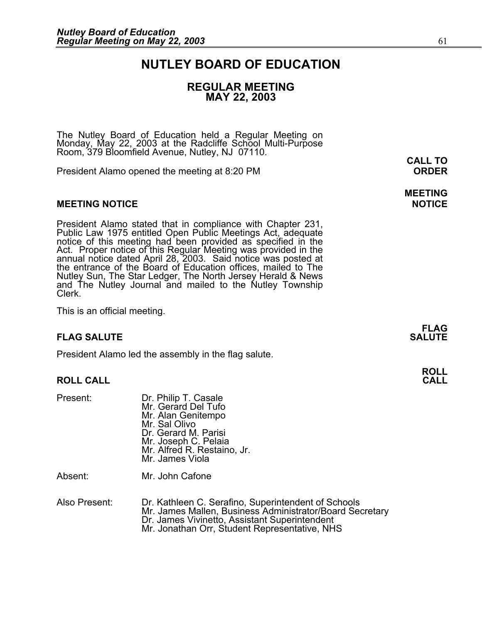## **NUTLEY BOARD OF EDUCATION**

## **REGULAR MEETING MAY 22, 2003**

The Nutley Board of Education held a Regular Meeting on Monday, May 22, 2003 at the Radcliffe School Multi-Purpose Room, 379 Bloomfield Avenue, Nutley, NJ 07110.

President Alamo opened the meeting at 8:20 PM **ORDER**

#### **MEETING NOTICE NOTICE AND INCLUSION CONTROL**

President Alamo stated that in compliance with Chapter 231,<br>Public Law 1975 entitled Open Public Meetings Act, adequate<br>notice of this meeting had been provided as specified in the<br>Act. Proper notice of this Regular Meetin annual notice dated April 28, 2003. Said notice was posted at<br>the entrance of the Board of Education offices, mailed to The Nutley Sun, The Star Ledger, The North Jersey Herald & News<br>and The Nutley Journal and mailed to the Nutley Township<br>Clerk.

This is an official meeting.

#### **FLAG SALUTE** SALUTE SALUTE SALUTE SALUTE SALUTE

President Alamo led the assembly in the flag salute.

#### **ROLL CALL CALL**

| Mr. Alfred R. Restaino, Jr. |
|-----------------------------|
|                             |
|                             |

Absent: Mr. John Cafone

| Also Present: | Dr. Kathleen C. Serafino, Superintendent of Schools      |
|---------------|----------------------------------------------------------|
|               | Mr. James Mallen, Business Administrator/Board Secretary |
|               | Dr. James Vivinetto, Assistant Superintendent            |
|               | Mr. Jonathan Orr, Student Representative, NHS            |

**CALL TO** 

**MEETING** 

**FLAG** 

**ROLL**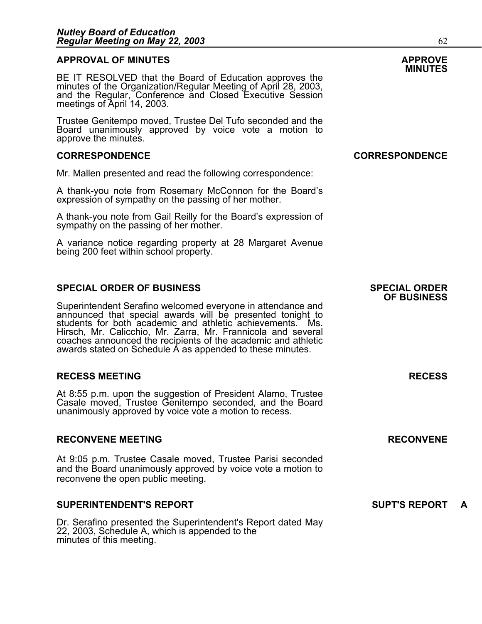## **APPROVAL OF MINUTES APPROVE**

**BE IT RESOLVED that the Board of Education approves the minutes of the Organization/Regular Meeting of April 28, 2003,<br>minutes of the Organization/Regular Meeting of April 28, 2003,<br>and the Regular, Conference and Closed** meetings of April 14, 2003.

Trustee Genitempo moved, Trustee Del Tufo seconded and the Board unanimously approved by voice vote a motion to approve the minutes.

#### **CORRESPONDENCE CORRESPONDENCE**

Mr. Mallen presented and read the following correspondence:

A thank-you note from Rosemary McConnon for the Board's expression of sympathy on the passing of her mother.

A thank-you note from Gail Reilly for the Board's expression of sympathy on the passing of her mother.

A variance notice regarding property at 28 Margaret Avenue being 200 feet within school property.

#### **SPECIAL ORDER OF BUSINESS SPECIAL ORDER**

Superintendent Serafino welcomed everyone in attendance and<br>announced that special awards will be presented tonight to<br>students for both academic and athletic achievements. Ms. Hirsch, Mr. Calicchio, Mr. Zarra, Mr. Frannicola and several coaches announced the recipients of the academic and athletic awards stated on Schedule A as appended to these minutes.

#### **RECESS MEETING RECESS**

At 8:55 p.m. upon the suggestion of President Alamo, Trustee Casale moved, Trustee Genitempo seconded, and the Board unanimously approved by voice vote a motion to recess.

#### **RECONVENE MEETING RECONVENE**

At 9:05 p.m. Trustee Casale moved, Trustee Parisi seconded and the Board unanimously approved by voice vote a motion to reconvene the open public meeting.

#### **SUPERINTENDENT'S REPORT SUPT'S REPORT A**

Dr. Serafino presented the Superintendent's Report dated May 22, 2003, Schedule A, which is appended to the minutes of this meeting.

# **OF BUSINESS**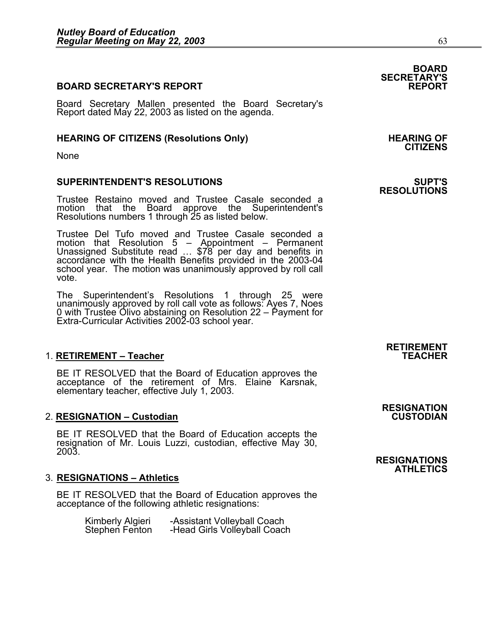#### **BOARD SECRETARY'S REPORT**

Board Secretary Mallen presented the Board Secretary's Report dated May 22, 2003 as listed on the agenda.

#### HEARING OF CITIZENS (Resolutions Only) **HEARING OF SEARING** OF

None

#### **SUPERINTENDENT'S RESOLUTIONS SUPT'S**

Trustee Restaino moved and Trustee Casale seconded a motion that the Board approve the Superintendent's Resolutions numbers 1 through 25 as listed below.

Trustee Del Tufo moved and Trustee Casale seconded a motion that Resolution 5 – Appointment – Permanent<br>Unassigned Substitute read … \$78 per day and benefits in<br>accordance with the Health Benefits provided in the 2003-04 school year. The motion was unanimously approved by roll call vote.

The Superintendent's Resolutions 1 through 25 were unanimously approved by roll call vote as follows: Ayes 7, Noes 0 with Trustee Olivo abstaining on Resolution 22 – Payment for<br>Extra-Curricular Activities 2002-03 school year.

#### 1. RETIREMENT - Teacher

BE IT RESOLVED that the Board of Education approves the acceptance of the retirement of Mrs. Elaine Karsnak, elementary teacher, effective July 1, 2003.

#### **2. RESIGNATION – Custodian**

BE IT RESOLVED that the Board of Education accepts the resignation of Mr. Louis Luzzi, custodian, effective May 30, 2003.

#### 3. **RESIGNATIONS – Athletics**

BE IT RESOLVED that the Board of Education approves the acceptance of the following athletic resignations:

|                                    | -Assistant Volleyball Coach  |
|------------------------------------|------------------------------|
| Kimberly Algieri<br>Stephen Fenton | -Head Girls Volleyball Coach |

**CITIZENS** 

# **RESOLUTIONS**

# **RETIREMENT**

# **RESIGNATION**

**RESIGNATIONS ATHLETICS** 

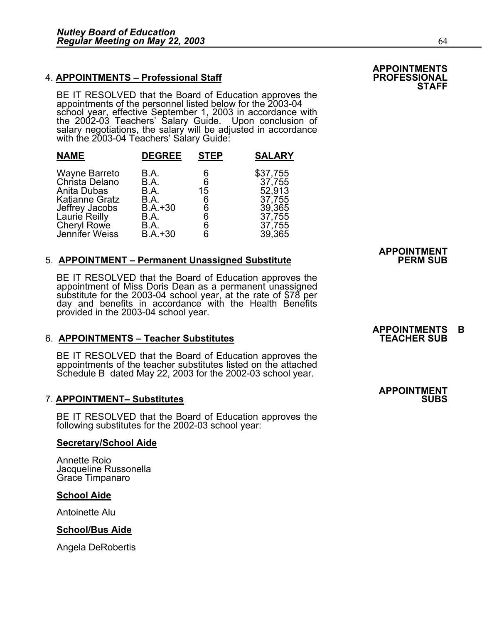### **4. APPOINTMENTS - Professional Staff**

BE IT RESOLVED that the Board of Education approves the<br>appointments of the personnel listed below for the 2003-04 school year, effective September 1, 2003 in accordance with the 2002-03 Teachers' Salary Guide. Upon conclusion of salary negotiations, the salary will be adjusted in accordance with the 2003-04 Teachers' Salary Guide:

| <b>NAME</b>           | <b>DEGREE</b> | <b>STEP</b> | <b>SALARY</b> |
|-----------------------|---------------|-------------|---------------|
| Wayne Barreto         | B.A.          | 6           | \$37,755      |
| Christa Delano        | B.A.          | 6           | 37,755        |
| Anita Dubas           | B.A.          | 15          | 52,913        |
| <b>Katianne Gratz</b> | B.A.          | 6           | 37,755        |
| Jeffrey Jacobs        | $B.A.+30$     | 6           | 39,365        |
| Laurie Reilly         | B.A.          | 6           | 37,755        |
| Cheryl Rowe           | B.A.          | 6           | 37,755        |
| Jennifer Weiss        | $B.A.+30$     | 6           | 39,365        |

#### 5. **APPOINTMENT – Permanent Unassigned Substitute**

BE IT RESOLVED that the Board of Education approves the appointment of Miss Doris Dean as a permanent unassigned substitute for the 2003-04 school year, at the rate of \$78 per day and benefits in accordance with the Health provided in the 2003-04 school year.

#### 6. **APPOINTMENTS – Teacher Substitutes**

BE IT RESOLVED that the Board of Education approves the appointments of the teacher substitutes listed on the attached Schedule B dated May 22, 2003 for the 2002-03 school year.

#### **7. APPOINTMENT- Substitutes**

BE IT RESOLVED that the Board of Education approves the following substitutes for the 2002-03 school year:

#### **Secretary/School Aide**

Annette Roio Jacqueline Russonella Grace Timpanaro

#### **School Aide**

Antoinette Alu

#### **School/Bus Aide**

Angela DeRobertis

# **APPOINTMENT**

## **APPOINTMENTS B**

## **APPOINTMENT**

## **APPOINTMENTS STAFF**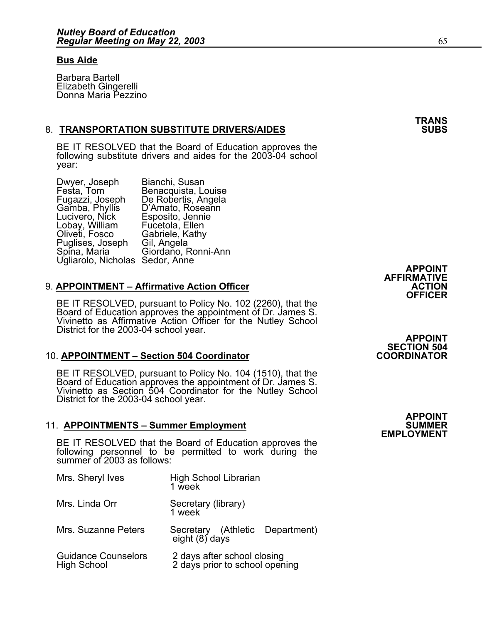#### **Bus Aide**

Barbara Bartell Elizabeth Gingerelli Donna Maria Pezzino

#### 8. **TRANSPORTATION SUBSTITUTE DRIVERS/AIDES**

BE IT RESOLVED that the Board of Education approves the following substitute drivers and aides for the 2003-04 school year:

| Dwyer, Joseph                   | Bianchi, Susan      |                |  |
|---------------------------------|---------------------|----------------|--|
| Festa, Tom                      | Benacquista, Louise |                |  |
| Fugazzi, Joseph                 | De Robertis, Angela |                |  |
| Gamba, Phyllis                  | D'Amato, Roseann    |                |  |
| Lucivero, Nick                  | Esposito, Jennie    |                |  |
| Lobay, William                  | Fucetola, Ellen     |                |  |
| Oliveti, Fosco                  | Gabriele, Kathy     |                |  |
| Puglises, Joseph                | Gil, Angela         |                |  |
| Spina, Maria                    | Giordaño, Ronni-Ann |                |  |
| Ugliarolo, Nicholas Sedor, Anne |                     |                |  |
|                                 |                     | <b>APPOINT</b> |  |
|                                 |                     |                |  |

#### 9. **APPOINTMENT - Affirmative Action Officer**

BE IT RESOLVED, pursuant to Policy No. 102 (2260), that the<br>Board of Education approves the appointment of Dr. James S.<br>Vivinetto as Affirmative Action Officer for the Nutley School<br>District for the 2003-04 school year.<br>**A** 

#### 10. **APPOINTMENT – Section 504 Coordinator**

BE IT RESOLVED, pursuant to Policy No. 104 (1510), that the Board of Education approves the appointment of Dr. James S. Vivinetto as Section 504 Coordinator for the Nutley School District for the 2003-04 school year.

#### 11. **APPOINTMENTS - Summer Employment**

BE IT RESOLVED that the Board of Education approves the following personnel to be permitted to work during the summer of 2003 as follows:

| Mrs. Sheryl Ives                                 | <b>High School Librarian</b><br>1 week                        |
|--------------------------------------------------|---------------------------------------------------------------|
| Mrs. Linda Orr                                   | Secretary (library)<br>1 week                                 |
| Mrs. Suzanne Peters                              | Secretary (Athletic Department)<br>eight (8) days             |
| <b>Guidance Counselors</b><br><b>High School</b> | 2 days after school closing<br>2 days prior to school opening |

**AFFIRMATIVE OFFICER** 

**SECTION 504** 

**APPOINT EMPLOYMENT** 

**TRANS**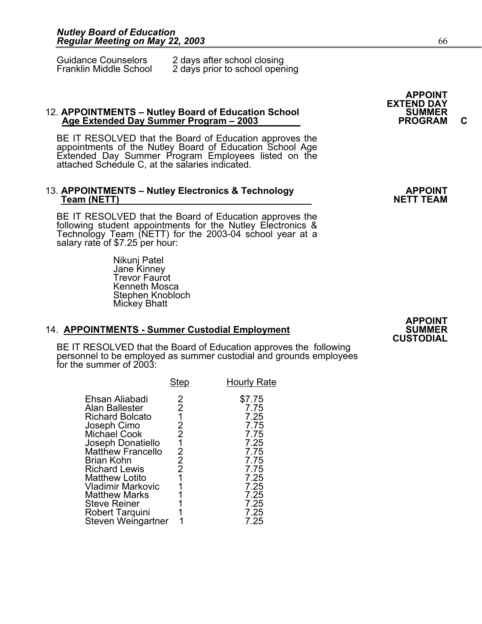| <b>Guidance Counselors</b> | 2 days after school closing    |
|----------------------------|--------------------------------|
| Franklin Middle School     | 2 days prior to school opening |

## 12. **APPOINTMENTS – Nutley Board of Education School SUMMER Age Extended Day Summer Program – 2003 PROGRAM C**

BE IT RESOLVED that the Board of Education approves the appointments of the Nutley Board of Education School Age Extended Day Summer Program Employees listed on the attached Schedule C, at the salaries indicated.

# 13. **APPOINTMENTS – Nutley Electronics & Technology APPOINT (NETT TEAM**<br>NETT TEAM

BE IT RESOLVED that the Board of Education approves the following student appointments for the Nutley Electronics & Technology Team (NETT) for the 2003-04 school year at a salary rate of \$7.25 per hour:

 Nikunj Patel Jane Kinney **Trevor Faurot**  Kenneth Mosca Stephen Knobloch Mickey Bhatt

#### 14. **APPOINTMENTS - Summer Custodial Employment**

BE IT RESOLVED that the Board of Education approves the following personnel to be employed as summer custodial and grounds employees for the summer of 2003:

|                                                                                                                                                                                                                                                                                                                               | <b>Step</b>                                                    | <b>Hourly Rate</b>                                                                                                     |
|-------------------------------------------------------------------------------------------------------------------------------------------------------------------------------------------------------------------------------------------------------------------------------------------------------------------------------|----------------------------------------------------------------|------------------------------------------------------------------------------------------------------------------------|
| Ehsan Aliabadi<br>Alan Ballester<br><b>Richard Bolcato</b><br>Joseph Cimo<br>Michael Cook<br>Joseph Donatiello<br><b>Matthew Francello</b><br><b>Brian Kohn</b><br><b>Richard Lewis</b><br><b>Matthew Lotito</b><br>Vladimir Markovic<br><b>Matthew Marks</b><br><b>Steve Reiner</b><br>Robert Tarquini<br>Steven Weingartner | 2<br>2<br>2<br>2<br>1<br>2<br>$\overline{2}$<br>$\overline{2}$ | \$7.75<br>7.75<br>7.25<br>7.75<br>7.75<br>7.25<br>7.75<br>7.75<br>7.75<br>7.25<br>7.25<br>7.25<br>7.25<br>7.25<br>7.25 |
|                                                                                                                                                                                                                                                                                                                               |                                                                |                                                                                                                        |

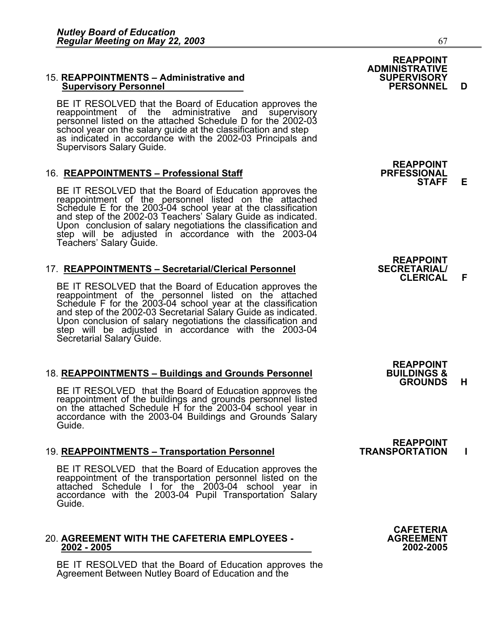## 15. **REAPPOINTMENTS – Administrative and SUPERVISORY Supervisory Personnel PERSONNEL D**

BE IT RESOLVED that the Board of Education approves the reappointment of the administrative and supervisory personnel listed on the attached Schedule D for the 2002-03 school year on the salary guide at the classification and step as indicated in accordance with the 2002-03 Principals and Supervisors Salary Guide.

#### 16. **REAPPOINTMENTS – Professional Staff**

BE IT RESOLVED that the Board of Education approves the reappointment of the personnel listed on the attached Schedule E for the 2003-04 school year at the classification<br>and step of the 2002-03 Teachers' Salary Guide as indicated.<br>Upon conclusion of salary negotiations the classification and Upon conclusion of salary negotiations the classification and step will be adjusted in accordance with the 2003-04 Teachers' Salary Guide.

#### **17. REAPPOINTMENTS – Secretarial/Clerical Personnel**

BE IT RESOLVED that the Board of Education approves the reappointment of the personnel listed on the attached Schedule F for the 2003-04 school year at the classification<br>and step of the 2002-03 Secretarial Salary Guide as indicated.<br>Upon conclusion of salary negotiations the classification and<br>step will be adjusted in accordance Secretarial Salary Guide.

#### 18. **REAPPOINTMENTS – Buildings and Grounds Personnel**

BE IT RESOLVED that the Board of Education approves the reappointment of the buildings and grounds personnel listed on the attached Schedule H for the 2003-04 school year in accordance with the 2003-04 Buildings and Ground

#### 19. **REAPPOINTMENTS – Transportation Personnel TRANSPORTATION I**

BE IT RESOLVED that the Board of Education approves the reappointment of the transportation personnel listed on the attached Schedule I for the 2003-04 school year in accordance with the 2003-04 Pupil Transportation Salary

# 20. **AGREEMENT WITH THE CAFETERIA EMPLOYEES - AGREEMENT 2002 - 2005 2002-2005**

BE IT RESOLVED that the Board of Education approves the Agreement Between Nutley Board of Education and the



**REAPPOINT STAFF E** 

**REAPPOINT<br>SECRETARIAL/ CLERICAL F** 

**REAPPOINT GROUNDS H** 

**REAPPOINT<br>TRANSPORTATION** 

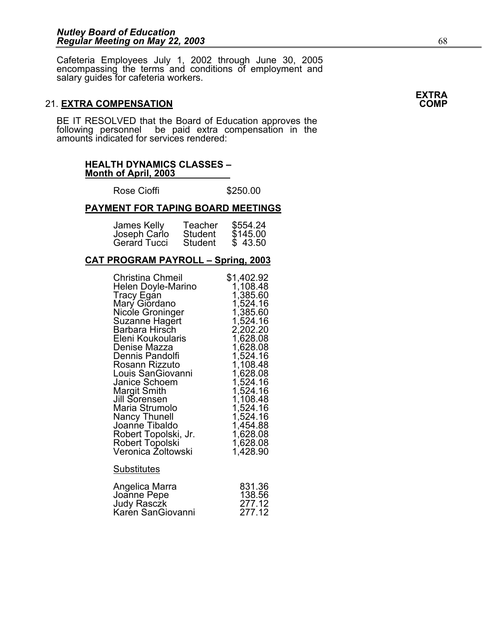Cafeteria Employees July 1, 2002 through June 30, 2005 encompassing the terms and conditions of employment and salary guides for cafeteria workers.

### **21. EXTRA COMPENSATION**

BE IT RESOLVED that the Board of Education approves the following personnel be paid extra compensation in the amounts indicated for services rendered:

#### **HEALTH DYNAMICS CLASSES – Month of April, 2003**

Rose Cioffi **\$250.00** 

#### **PAYMENT FOR TAPING BOARD MEETINGS**

| James Kelly  | Teacher | \$554.24 |
|--------------|---------|----------|
| Joseph Carlo | Student | \$145.00 |
| Gerard Tucci | Student | \$43.50  |

#### **CAT PROGRAM PAYROLL – Spring, 2003**

| <b>Christina Chmeil</b><br>Helen Doyle-Marino<br><b>Tracy Egan</b><br>Mary Giordano<br>Nicole Groninger<br>Suzanne Hagert<br>Barbara Hirsch<br>Eleni Koukoularis<br>Denise Mazza<br>Dennis Pandolfi<br>Rosann Rizzuto<br>Louis SanGiovanni<br>Janice Schoem<br>Margit Smith<br>Jill Sorensen<br>Maria Strumolo<br><b>Nancy Thunell</b><br>Joanne Tibaldo<br>Robert Topolski, Jr.<br><b>Robert Topolski</b><br>Veronica Żoltowski | \$1,402.92<br>1,108.48<br>1,385.60<br>1,524.16<br>1,385.60<br>1,524.16<br>2,202.20<br>1,628.08<br>1,628.08<br>1,524.16<br>1,108.48<br>1,628.08<br>1,524.16<br>1,524.16<br>1,108.48<br>1,524.16<br>1,524.16<br>1,454.88<br>1,628.08<br>1,628.08<br>1,428.90 |
|----------------------------------------------------------------------------------------------------------------------------------------------------------------------------------------------------------------------------------------------------------------------------------------------------------------------------------------------------------------------------------------------------------------------------------|------------------------------------------------------------------------------------------------------------------------------------------------------------------------------------------------------------------------------------------------------------|
| <b>Substitutes</b>                                                                                                                                                                                                                                                                                                                                                                                                               |                                                                                                                                                                                                                                                            |
| Angelica Marra<br>Joanne Pepe<br><b>Judy Rasczk</b><br>Karén SanGiovanni                                                                                                                                                                                                                                                                                                                                                         | 831.36<br>138.56<br>277.12<br>277.12                                                                                                                                                                                                                       |

**EXTRA**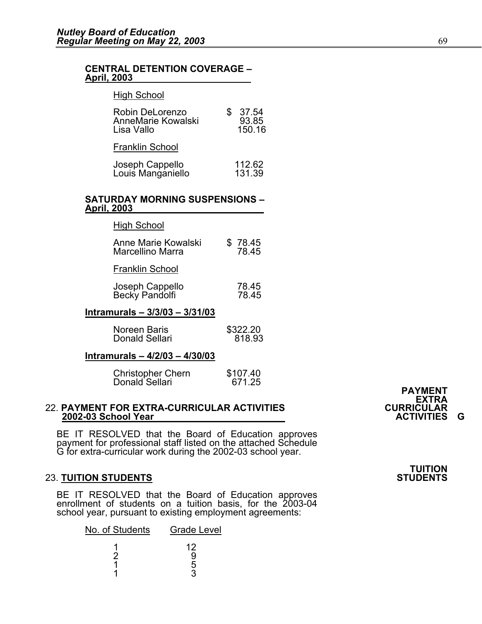#### **CENTRAL DETENTION COVERAGE – April, 2003**

#### High School

| Robin DeLorenzo<br>AnneMarie Kowalski<br>Lisa Vallo | 37.54<br>93.85<br>150.16 |
|-----------------------------------------------------|--------------------------|
| <b>Franklin School</b>                              |                          |
| Joseph Cappello<br>Louis Manganiello                | 112.62<br>131.39         |

#### **SATURDAY MORNING SUSPENSIONS – April, 2003**

| <b>High School</b>             |          |
|--------------------------------|----------|
| Anne Marie Kowalski            | \$78.45  |
| Marcellino Marra               | 78.45    |
| Franklin School                |          |
| Joseph Cappello                | 78.45    |
| Becky Pandolfi                 | 78.45    |
| Intramurals - 3/3/03 - 3/31/03 |          |
| <b>Noreen Baris</b>            | \$322.20 |
| Donald Sellari                 | 818.93   |

#### **Intramurals – 4/2/03 – 4/30/03**

| <b>Christopher Chern</b> | \$107.40 |
|--------------------------|----------|
| Donald Sellari           | 671.25   |

## 22. **PAYMENT FOR EXTRA-CURRICULAR ACTIVITIES CURRICULAR 2002-03 School Year ACTIVITIES G**

BE IT RESOLVED that the Board of Education approves payment for professional staff listed on the attached Schedule G for extra-curricular work during the 2002-03 school year.

#### **23. TUITION STUDENTS**

BE IT RESOLVED that the Board of Education approves enrollment of students on a tuition basis, for the 2003-04 school year, pursuant to existing employment agreements:

| No. of Students | <b>Grade Level</b> |
|-----------------|--------------------|
|                 | 12                 |
|                 |                    |
|                 | h                  |
|                 |                    |

## **PAYMENT EXTRA**<br>CURRICULAR

**TUITION**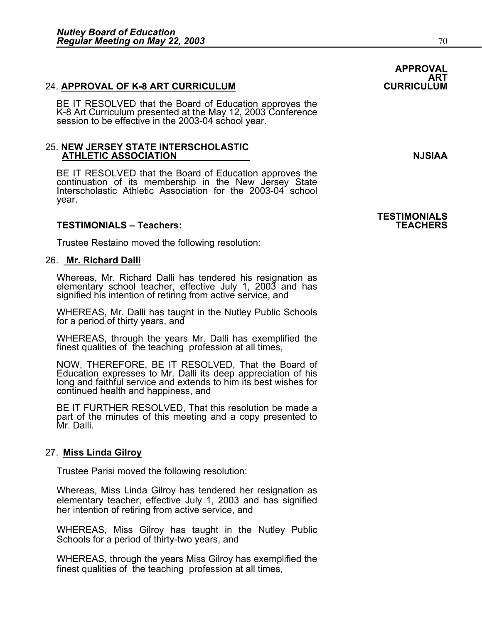#### 24. **APPROVAL OF K-8 ART CURRICULUM**

BE IT RESOLVED that the Board of Education approves the K-8 Art Curriculum presented at the May 12, 2003 Conference session to be effective in the 2003-04 school year.

#### 25. **NEW JERSEY STATE INTERSCHOLASTIC ATHLETIC ASSOCIATION NJSIAA**

BE IT RESOLVED that the Board of Education approves the continuation of its membership in the New Jersey State Interscholastic Athletic Association for the 2003-04 school year.

#### **TESTIMONIALS – Teachers: TEACHERS**

Trustee Restaino moved the following resolution:

#### 26. **Mr. Richard Dalli**

Whereas, Mr. Richard Dalli has tendered his resignation as elementary school teacher, effective July 1, 2003 and has signified his intention of retiring from active service, and

WHEREAS, Mr. Dalli has taught in the Nutley Public Schools for a period of thirty years, and

WHEREAS, through the years Mr. Dalli has exemplified the finest qualities of the teaching profession at all times,

NOW, THEREFORE, BE IT RESOLVED, That the Board of Education expresses to Mr. Dalli its deep appreciation of his Iong and faithful service and extends to him its best wishes for continued health and happiness, and

BE IT FURTHER RESOLVED, That this resolution be made a part of the minutes of this meeting and a copy presented to Mr. Dalli.

#### 27. **Miss Linda Gilroy**

Trustee Parisi moved the following resolution:

Whereas, Miss Linda Gilroy has tendered her resignation as elementary teacher, effective July 1, 2003 and has signified her intention of retiring from active service, and

WHEREAS, Miss Gilroy has taught in the Nutley Public Schools for a period of thirty-two years, and

WHEREAS, through the years Miss Gilroy has exemplified the finest qualities of the teaching profession at all times,

**APPROVAL** 

# **TESTIMONIALS**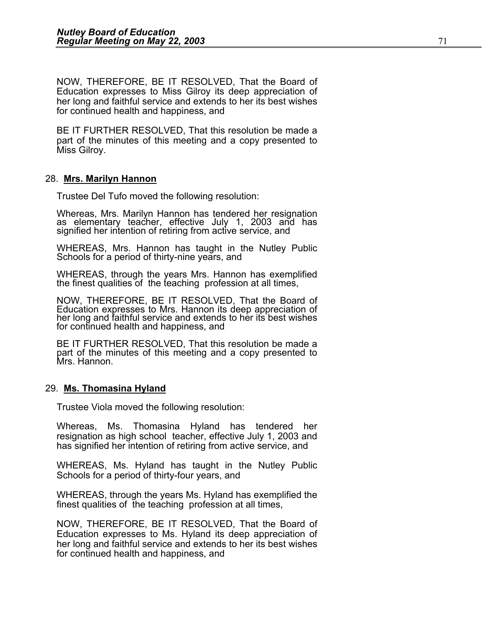NOW, THEREFORE, BE IT RESOLVED, That the Board of Education expresses to Miss Gilroy its deep appreciation of her long and faithful service and extends to her its best wishes for continued health and happiness, and

BE IT FURTHER RESOLVED, That this resolution be made a part of the minutes of this meeting and a copy presented to Miss Gilroy.

#### 28. **Mrs. Marilyn Hannon**

Trustee Del Tufo moved the following resolution:

Whereas, Mrs. Marilyn Hannon has tendered her resignation as elementary teacher, effective July 1, 2003 and has signified her intention of retiring from active service, and

WHEREAS, Mrs. Hannon has taught in the Nutley Public Schools for a period of thirty-nine years, and

WHEREAS, through the years Mrs. Hannon has exemplified the finest qualities of the teaching profession at all times,

NOW, THEREFORE, BE IT RESOLVED, That the Board of Education expresses to Mrs. Hannon its deep appreciation of her long and faithful service and extends to her its best wishes for continued health and happiness, and

BE IT FURTHER RESOLVED, That this resolution be made a part of the minutes of this meeting and a copy presented to Mrs. Hannon.

#### 29. **Ms. Thomasina Hyland**

Trustee Viola moved the following resolution:

Whereas, Ms. Thomasina Hyland has tendered her resignation as high school teacher, effective July 1, 2003 and has signified her intention of retiring from active service, and

WHEREAS, Ms. Hyland has taught in the Nutley Public Schools for a period of thirty-four years, and

WHEREAS, through the years Ms. Hyland has exemplified the finest qualities of the teaching profession at all times,

NOW, THEREFORE, BE IT RESOLVED, That the Board of Education expresses to Ms. Hyland its deep appreciation of her long and faithful service and extends to her its best wishes for continued health and happiness, and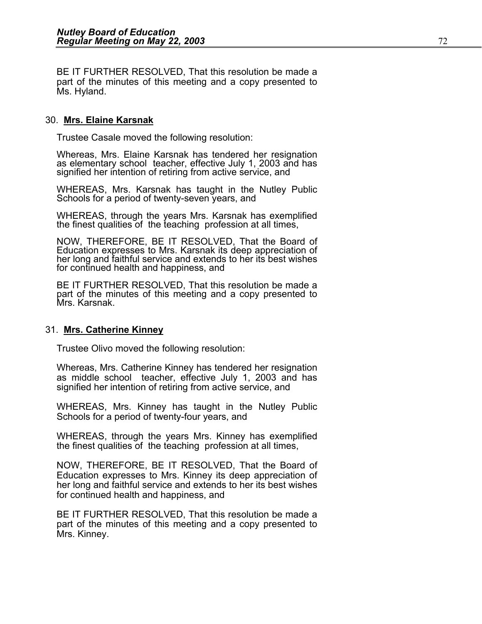BE IT FURTHER RESOLVED, That this resolution be made a part of the minutes of this meeting and a copy presented to Ms. Hyland.

#### 30. **Mrs. Elaine Karsnak**

Trustee Casale moved the following resolution:

Whereas, Mrs. Elaine Karsnak has tendered her resignation as elementary school teacher, effective July 1, 2003 and has signified her intention of retiring from active service, and

WHEREAS, Mrs. Karsnak has taught in the Nutley Public Schools for a period of twenty-seven years, and

WHEREAS, through the years Mrs. Karsnak has exemplified the finest qualities of the teaching profession at all times,

NOW, THEREFORE, BE IT RESOLVED, That the Board of Education expresses to Mrs. Karsnak its deep appreciation of her long and faithful service and extends to her its best wishes for continued health and happiness, and

BE IT FURTHER RESOLVED, That this resolution be made a part of the minutes of this meeting and a copy presented to Mrs. Karsnak.

#### 31. **Mrs. Catherine Kinney**

Trustee Olivo moved the following resolution:

Whereas, Mrs. Catherine Kinney has tendered her resignation as middle school teacher, effective July 1, 2003 and has signified her intention of retiring from active service, and

WHEREAS, Mrs. Kinney has taught in the Nutley Public Schools for a period of twenty-four years, and

WHEREAS, through the years Mrs. Kinney has exemplified the finest qualities of the teaching profession at all times,

NOW, THEREFORE, BE IT RESOLVED, That the Board of Education expresses to Mrs. Kinney its deep appreciation of her long and faithful service and extends to her its best wishes for continued health and happiness, and

BE IT FURTHER RESOLVED, That this resolution be made a part of the minutes of this meeting and a copy presented to Mrs. Kinney.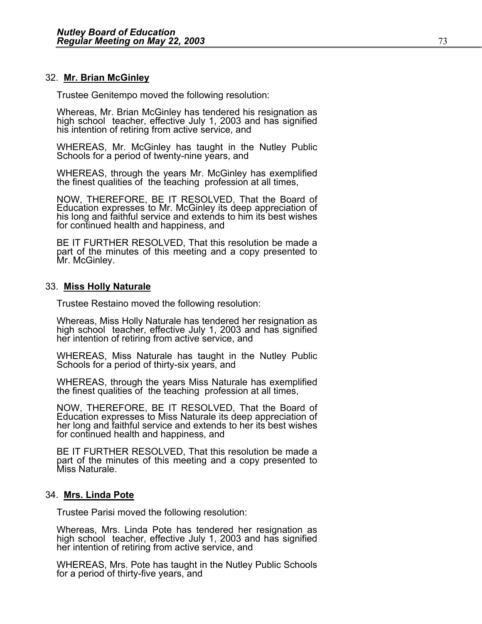#### 32. **Mr. Brian McGinley**

Trustee Genitempo moved the following resolution:

Whereas, Mr. Brian McGinley has tendered his resignation as high school teacher, effective July 1, 2003 and has signified his intention of retiring from active service, and

WHEREAS, Mr. McGinley has taught in the Nutley Public Schools for a period of twenty-nine years, and

WHEREAS, through the years Mr. McGinley has exemplified the finest qualities of the teaching profession at all times,

NOW, THEREFORE, BE IT RESOLVED, That the Board of Education expresses to Mr. McGinley its deep appreciation of his long and faithful service and extends to him its best wishes for continued health and happiness, and

BE IT FURTHER RESOLVED, That this resolution be made a part of the minutes of this meeting and a copy presented to Mr. McGinley.

#### 33. **Miss Holly Naturale**

Trustee Restaino moved the following resolution:

Whereas, Miss Holly Naturale has tendered her resignation as high school teacher, effective July 1, 2003 and has signified her intention of retiring from active service, and

WHEREAS, Miss Naturale has taught in the Nutley Public Schools for a period of thirty-six years, and

WHEREAS, through the years Miss Naturale has exemplified the finest qualities of the teaching profession at all times,

NOW, THEREFORE, BE IT RESOLVED, That the Board of Education expresses to Miss Naturale its deep appreciation of her long and faithful service and extends to her its best wishes for continued health and happiness, and

BE IT FURTHER RESOLVED, That this resolution be made a part of the minutes of this meeting and a copy presented to Miss Naturale.

#### 34. **Mrs. Linda Pote**

Trustee Parisi moved the following resolution:

Whereas, Mrs. Linda Pote has tendered her resignation as high school teacher, effective July 1, 2003 and has signified her intention of retiring from active service, and

WHEREAS, Mrs. Pote has taught in the Nutley Public Schools for a period of thirty-five years, and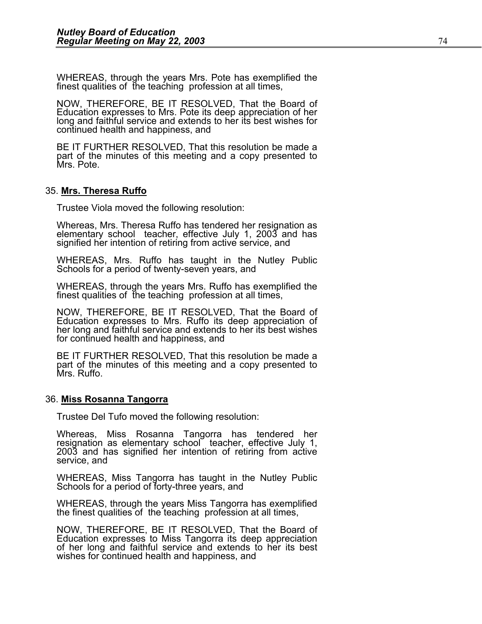WHEREAS, through the years Mrs. Pote has exemplified the finest qualities of the teaching profession at all times,

NOW, THEREFORE, BE IT RESOLVED, That the Board of Education expresses to Mrs. Pote its deep appreciation of her<br>long and faithful service and extends to her its best wishes for continued health and happiness, and

BE IT FURTHER RESOLVED, That this resolution be made a part of the minutes of this meeting and a copy presented to Mrs. Pote.

#### 35. **Mrs. Theresa Ruffo**

Trustee Viola moved the following resolution:

Whereas, Mrs. Theresa Ruffo has tendered her resignation as elementary school teacher, effective July 1, 2003 and has signified her intention of retiring from active service, and

WHEREAS, Mrs. Ruffo has taught in the Nutley Public Schools for a period of twenty-seven years, and

WHEREAS, through the years Mrs. Ruffo has exemplified the finest qualities of the teaching profession at all times,

NOW, THEREFORE, BE IT RESOLVED, That the Board of Education expresses to Mrs. Ruffo its deep appreciation of her long and faithful service and extends to her its best wishes for continued health and happiness, and

BE IT FURTHER RESOLVED, That this resolution be made a part of the minutes of this meeting and a copy presented to Mrs. Ruffo.

#### 36. **Miss Rosanna Tangorra**

Trustee Del Tufo moved the following resolution:

Whereas, Miss Rosanna Tangorra has tendered her resignation as elementary school teacher, effective July 1, 2003 and has signified her intention of retiring from active service, and

WHEREAS, Miss Tangorra has taught in the Nutley Public Schools for a period of forty-three years, and

WHEREAS, through the years Miss Tangorra has exemplified the finest qualities of the teaching profession at all times,

NOW, THEREFORE, BE IT RESOLVED, That the Board of Education expresses to Miss Tangorra its deep appreciation of her long and faithful service and extends to her its best wishes for continued health and happiness, and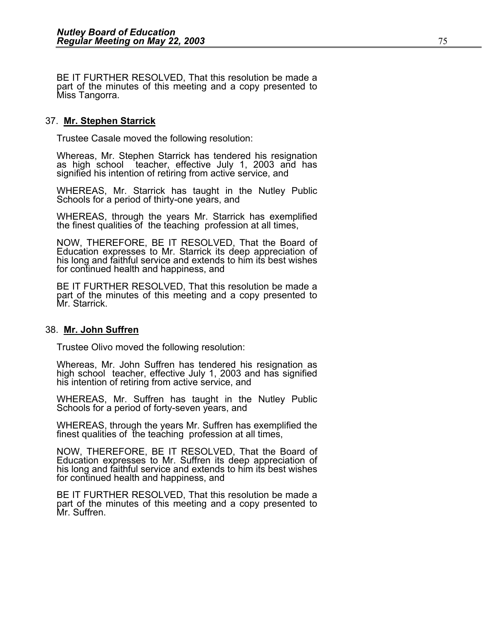BE IT FURTHER RESOLVED, That this resolution be made a part of the minutes of this meeting and a copy presented to Miss Tangorra.

#### 37. **Mr. Stephen Starrick**

Trustee Casale moved the following resolution:

Whereas, Mr. Stephen Starrick has tendered his resignation as high school teacher, effective July 1, 2003 and has signified his intention of retiring from active service, and

WHEREAS, Mr. Starrick has taught in the Nutley Public Schools for a period of thirty-one years, and

WHEREAS, through the years Mr. Starrick has exemplified the finest qualities of the teaching profession at all times,

NOW, THEREFORE, BE IT RESOLVED, That the Board of Education expresses to Mr. Starrick its deep appreciation of his long and faithful service and extends to him its best wishes for continued health and happiness, and

BE IT FURTHER RESOLVED, That this resolution be made a part of the minutes of this meeting and a copy presented to Mr. Starrick.

#### 38. **Mr. John Suffren**

Trustee Olivo moved the following resolution:

Whereas, Mr. John Suffren has tendered his resignation as high school teacher, effective July 1, 2003 and has signified his intention of retiring from active service, and

WHEREAS, Mr. Suffren has taught in the Nutley Public Schools for a period of forty-seven years, and

WHEREAS, through the years Mr. Suffren has exemplified the finest qualities of the teaching profession at all times,

NOW, THEREFORE, BE IT RESOLVED, That the Board of Education expresses to Mr. Suffren its deep appreciation of his long and faithful service and extends to him its best wishes for continued health and happiness, and

BE IT FURTHER RESOLVED, That this resolution be made a part of the minutes of this meeting and a copy presented to Mr. Suffren.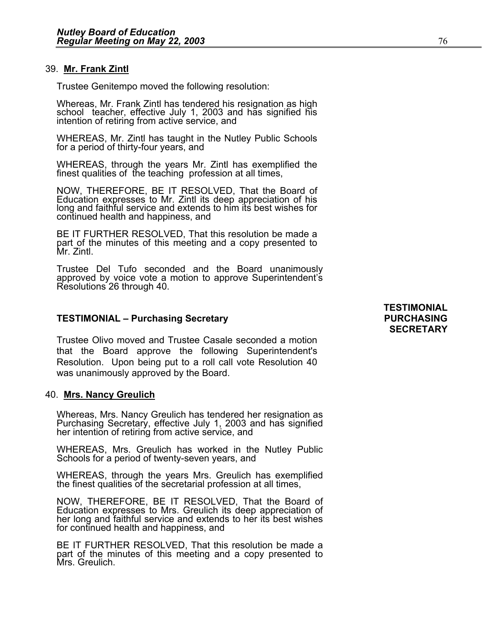#### 39. **Mr. Frank Zintl**

Trustee Genitempo moved the following resolution:

Whereas, Mr. Frank Zintl has tendered his resignation as high school teacher, effective July 1, 2003 and has signified his intention of retiring from active service, and

WHEREAS, Mr. Zintl has taught in the Nutley Public Schools for a period of thirty-four years, and

WHEREAS, through the years Mr. Zintl has exemplified the finest qualities of the teaching profession at all times,

NOW, THEREFORE, BE IT RESOLVED, That the Board of Education expresses to Mr. Zintl its deep appreciation of his long and faithful service and extends to him its best wishes for continued health and happiness, and

BE IT FURTHER RESOLVED, That this resolution be made a part of the minutes of this meeting and a copy presented to<br>Mr. Zintl.

Trustee Del Tufo seconded and the Board unanimously approved by voice vote a motion to approve Superintendent's Resolutions 26 through 40.

#### **TESTIMONIAL – Purchasing Secretary PURCHASING**

Trustee Olivo moved and Trustee Casale seconded a motion that the Board approve the following Superintendent's Resolution. Upon being put to a roll call vote Resolution 40 was unanimously approved by the Board.

#### 40. **Mrs. Nancy Greulich**

Whereas, Mrs. Nancy Greulich has tendered her resignation as<br>Purchasing Secretary, effective July 1, 2003 and has signified<br>her intention of retiring from active service, and

WHEREAS, Mrs. Greulich has worked in the Nutley Public Schools for a period of twenty-seven years, and

WHEREAS, through the years Mrs. Greulich has exemplified the finest qualities of the secretarial profession at all times,

NOW, THEREFORE, BE IT RESOLVED, That the Board of Education expresses to Mrs. Greulich its deep appreciation of her long and faithful service and extends to her its best wishes for continued health and happiness, and

BE IT FURTHER RESOLVED, That this resolution be made a part of the minutes of this meeting and a copy presented to Mrs. Greulich.

## **TESTIMONIAL SECRETARY**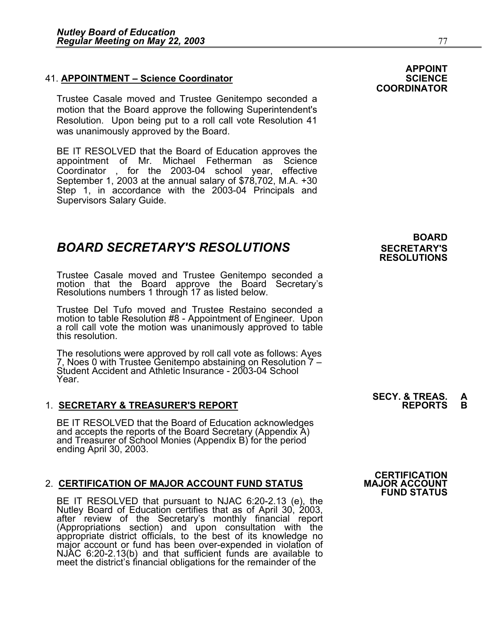### **41. APPOINTMENT – Science Coordinator**

Trustee Casale moved and Trustee Genitempo seconded a motion that the Board approve the following Superintendent's Resolution. Upon being put to a roll call vote Resolution 41 was unanimously approved by the Board.

BE IT RESOLVED that the Board of Education approves the appointment of Mr. Michael Fetherman as Science Coordinator , for the 2003-04 school year, effective September 1, 2003 at the annual salary of \$78,702, M.A. +30 Step 1, in accordance with the 2003-04 Principals and Supervisors Salary Guide.

## **BOARD SECRETARY'S RESOLUTIONS** SECRETARY'S

Trustee Casale moved and Trustee Genitempo seconded a motion that the Board approve the Board Secretary's Resolutions numbers 1 through 17 as listed below.

Trustee Del Tufo moved and Trustee Restaino seconded a motion to table Resolution #8 - Appointment of Engineer. Upon a roll call vote the motion was unanimously approved to table this resolution.

The resolutions were approved by roll call vote as follows: Ayes 7, Noes 0 with Trustee Genitempo abstaining on Resolution 7 –<br>Student Accident and Athletic Insurance - 2003-04 School Year.

#### 1. **SECRETARY & TREASURER'S REPORT**

BE IT RESOLVED that the Board of Education acknowledges and accepts the reports of the Board Secretary (Appendix A) and Treasurer of School Monies (Appendix B) for the period ending April 30, 2003.

#### 2. CERTIFICATION OF MAJOR ACCOUNT FUND STATUS

BE IT RESOLVED that pursuant to NJAC 6:20-2.13 (e), the<br>Nutley Board of Education certifies that as of April 30, 2003,<br>after review of the Secretary's monthly financial report<br>(Appropriations section) and upon consultation meet the district's financial obligations for the remainder of the

## **BOARD RESOLUTIONS**

# **SECY. & TREAS. A**

 **CERTIFICATION FUND STATUS** 

**APPOINT** 

**COORDINATOR**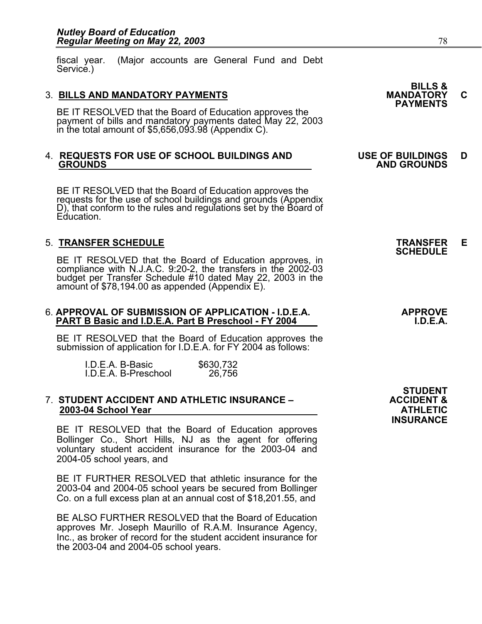fiscal year. (Major accounts are General Fund and Debt Service.)

3. BILLS AND MANDATORY PAYMENTS<br>BE IT RESOLVED that the Board of Education approves the **PAYMENTS** payment of bills and mandatory payments dated May 22, 2003 in the total amount of \$5,656,093.98 (Appendix C).

## 4. **REQUESTS FOR USE OF SCHOOL BUILDINGS AND USE OF BUILDINGS D GROUNDS AND GROUNDS**

BE IT RESOLVED that the Board of Education approves the requests for the use of school buildings and grounds (Appendix D), that conform to the rules and regulations set by the Board of Education.

5. **TRANSFER SCHEDULE**<br>BE IT RESOLVED that the Board of Education approves, in **SCHEDULE** BE IT RESOLVED that the Board of Education approves, in compliance with N.J.A.C. 9:20-2, the transfers in the 2002-03 budget per Transfer Schedule #10 dated May 22, 2003 in the<br>amount of \$78,194.00 as appended (Appendix E).

## 6. **APPROVAL OF SUBMISSION OF APPLICATION - I.D.E.A. APPROVE PART B Basic and I.D.E.A. Part B Preschool - FY 2004 I.D.E.A.**

BE IT RESOLVED that the Board of Education approves the submission of application for I.D.E.A. for FY 2004 as follows:

| I.D.E.A. B-Basic     | \$630,732 |
|----------------------|-----------|
| I.D.E.A. B-Preschool | 26,756    |

#### 7. **STUDENT ACCIDENT AND ATHLETIC INSURANCE – ACCIDENT & 2003-04 School Year ATHLETIC**

BE IT RESOLVED that the Board of Education approves Bollinger Co., Short Hills, NJ as the agent for offering voluntary student accident insurance for the 2003-04 and 2004-05 school years, and

BE IT FURTHER RESOLVED that athletic insurance for the 2003-04 and 2004-05 school years be secured from Bollinger Co. on a full excess plan at an annual cost of \$18,201.55, and

BE ALSO FURTHER RESOLVED that the Board of Education approves Mr. Joseph Maurillo of R.A.M. Insurance Agency, Inc., as broker of record for the student accident insurance for the 2003-04 and 2004-05 school years.

**BILLS &**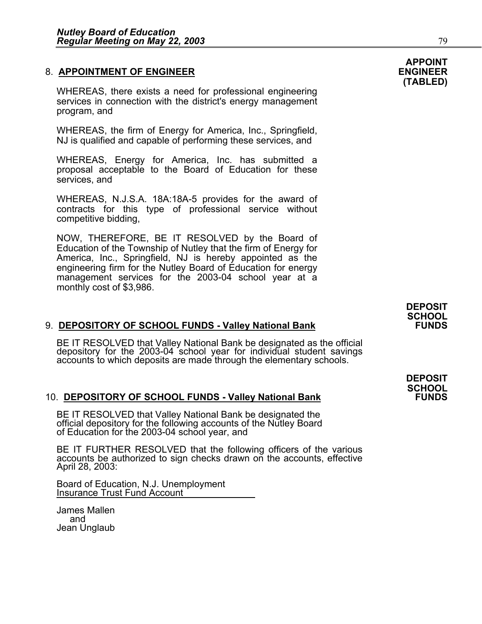#### 8. **APPOINTMENT OF ENGINEER ENGINEER**

WHEREAS, there exists a need for professional engineering services in connection with the district's energy management program, and

WHEREAS, the firm of Energy for America, Inc., Springfield, NJ is qualified and capable of performing these services, and

WHEREAS, Energy for America, Inc. has submitted a proposal acceptable to the Board of Education for these services, and

WHEREAS, N.J.S.A. 18A:18A-5 provides for the award of contracts for this type of professional service without competitive bidding,

NOW, THEREFORE, BE IT RESOLVED by the Board of Education of the Township of Nutley that the firm of Energy for America, Inc., Springfield, NJ is hereby appointed as the engineering firm for the Nutley Board of Education for energy management services for the 2003-04 school year at a monthly cost of \$3,986.

#### 9. **DEPOSITORY OF SCHOOL FUNDS - Valley National Bank**

BE IT RESOLVED that Valley National Bank be designated as the official depository for the 2003-04 school year for individual student savings accounts to which deposits are made through the elementary schools.

#### 10. **DEPOSITORY OF SCHOOL FUNDS - Valley National Bank FUNDS**

BE IT RESOLVED that Valley National Bank be designated the official depository for the following accounts of the Nutley Board of Education for the 2003-04 school year, and

BE IT FURTHER RESOLVED that the following officers of the various accounts be authorized to sign checks drawn on the accounts, effective April 28, 2003:

Board of Education, N.J. Unemployment Insurance Trust Fund Account

James Mallen and Jean Unglaub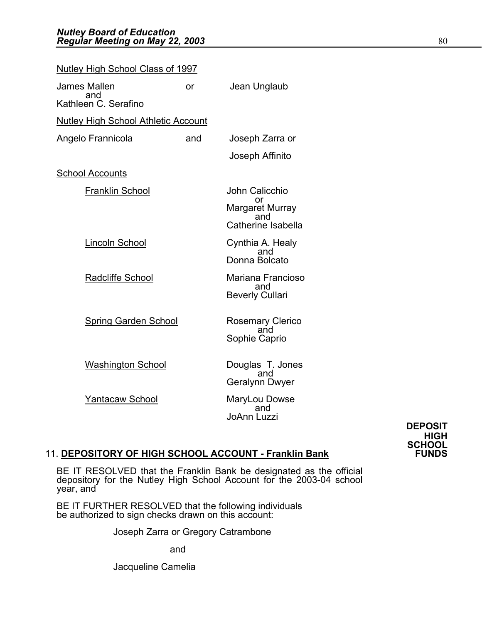| <b>Nutley High School Class of 1997</b>    |     |                           |  |
|--------------------------------------------|-----|---------------------------|--|
| James Mallen<br>and                        | or  | Jean Unglaub              |  |
| Kathleen C. Serafino                       |     |                           |  |
| <b>Nutley High School Athletic Account</b> |     |                           |  |
| Angelo Frannicola                          | and | Joseph Zarra or           |  |
|                                            |     | Joseph Affinito           |  |
| <b>School Accounts</b>                     |     |                           |  |
| <b>Franklin School</b>                     |     | John Calicchio            |  |
|                                            |     | or<br>Margaret Murray     |  |
|                                            |     | and<br>Catherine Isabella |  |
| <b>Lincoln School</b>                      |     | Cynthia A. Healy<br>and   |  |
|                                            |     | Donna Bolcato             |  |
| Radcliffe School                           |     | Mariana Francioso<br>and  |  |
|                                            |     | <b>Beverly Cullari</b>    |  |
| <b>Spring Garden School</b>                |     | <b>Rosemary Clerico</b>   |  |
|                                            |     | and<br>Sophie Caprio      |  |
|                                            |     |                           |  |
| <b>Washington School</b>                   |     | Douglas T. Jones<br>and   |  |
|                                            |     | Geralynn Dwyer            |  |
| <b>Yantacaw School</b>                     |     | MaryLou Dowse<br>and      |  |
|                                            |     | <b>JoAnn Luzzi</b>        |  |

**DEPOSIT HIGH SCHOOL** 

## 11. **DEPOSITORY OF HIGH SCHOOL ACCOUNT - Franklin Bank**

BE IT RESOLVED that the Franklin Bank be designated as the official depository for the Nutley High School Account for the 2003-04 school year, and Í

BE IT FURTHER RESOLVED that the following individuals be authorized to sign checks drawn on this account:

Joseph Zarra or Gregory Catrambone

and

Jacqueline Camelia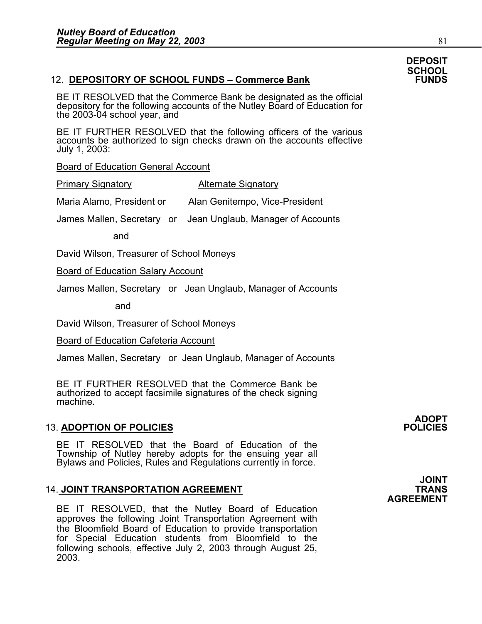## 12. **DEPOSITORY OF SCHOOL FUNDS - Commerce Bank**

BE IT RESOLVED that the Commerce Bank be designated as the official depository for the following accounts of the Nutley Board of Education for the 2003-04 school year, and

BE IT FURTHER RESOLVED that the following officers of the various accounts be authorized to sign checks drawn on the accounts effective July 1, 2003:

Board of Education General Account

Primary Signatory **Alternate Signatory** 

Maria Alamo, President or Alan Genitempo, Vice-President

James Mallen, Secretary or Jean Unglaub, Manager of Accounts

and

David Wilson, Treasurer of School Moneys

Board of Education Salary Account

James Mallen, Secretary or Jean Unglaub, Manager of Accounts

and

David Wilson, Treasurer of School Moneys

Board of Education Cafeteria Account

James Mallen, Secretary or Jean Unglaub, Manager of Accounts

BE IT FURTHER RESOLVED that the Commerce Bank be authorized to accept facsimile signatures of the check signing machine.

## **13. ADOPTION OF POLICIES**

BE IT RESOLVED that the Board of Education of the Township of Nutley hereby adopts for the ensuing year all<br>Bylaws and Policies, Rules and Regulations currently in force.

## 14. JOINT TRANSPORTATION AGREEMENT **TRANS**

BE IT RESOLVED, that the Nutley Board of Education approves the following Joint Transportation Agreement with the Bloomfield Board of Education to provide transportation for Special Education students from Bloomfield to the following schools, effective July 2, 2003 through August 25, 2003.

**ADOPT** 

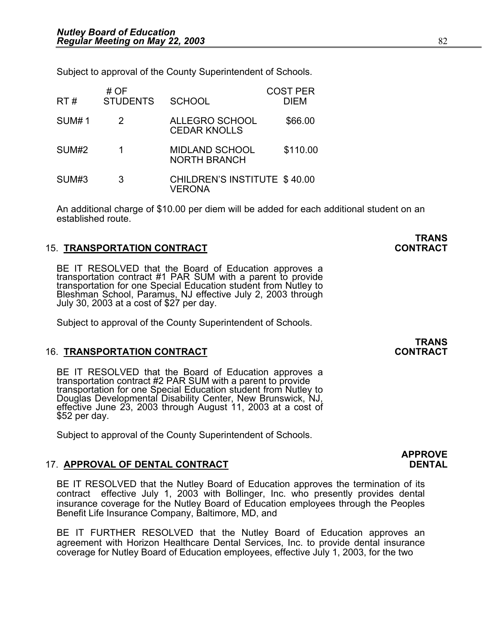Subject to approval of the County Superintendent of Schools.

| RT#          | # OF<br><b>STUDENTS</b> | <b>SCHOOL</b>                                        | <b>COST PER</b><br><b>DIEM</b> |
|--------------|-------------------------|------------------------------------------------------|--------------------------------|
| <b>SUM#1</b> | 2                       | <b>ALLEGRO SCHOOL</b><br><b>CEDAR KNOLLS</b>         | \$66.00                        |
| SUM#2        |                         | <b>MIDLAND SCHOOL</b><br><b>NORTH BRANCH</b>         | \$110.00                       |
| SUM#3        | 3                       | <b>CHILDREN'S INSTITUTE \$40.00</b><br><b>VERONA</b> |                                |

An additional charge of \$10.00 per diem will be added for each additional student on an established route.

#### 15. **TRANSPORTATION CONTRACT CONTRACT**

BE IT RESOLVED that the Board of Education approves a transportation contract #1 PAR SUM with a parent to provide transportation for one Special Education student from Nutley to Bleshman School, Paramus, NJ effective July

Subject to approval of the County Superintendent of Schools.

#### 16. **TRANSPORTATION CONTRACT CONTRACT**

BE IT RESOLVED that the Board of Education approves a transportation contract #2 PAR SUM with a parent to provide transportation for one Special Education student from Nutley to Douglas Developmental Disability Center, New Brunswick, NJ, effective June 23, 2003 through August 11, 2003 at a cost of \$52 per day.

Subject to approval of the County Superintendent of Schools.

#### 17. **APPROVAL OF DENTAL CONTRACT DENTAL**

BE IT RESOLVED that the Nutley Board of Education approves the termination of its contract effective July 1, 2003 with Bollinger, Inc. who presently provides dental insurance coverage for the Nutley Board of Education employees through the Peoples Benefit Life Insurance Company, Baltimore, MD, and

BE IT FURTHER RESOLVED that the Nutley Board of Education approves an agreement with Horizon Healthcare Dental Services, Inc. to provide dental insurance coverage for Nutley Board of Education employees, effective July 1, 2003, for the two

**TRANS<br>CONTRACT** 

# **APPROVE**

# **TRANS<br>CONTRACT**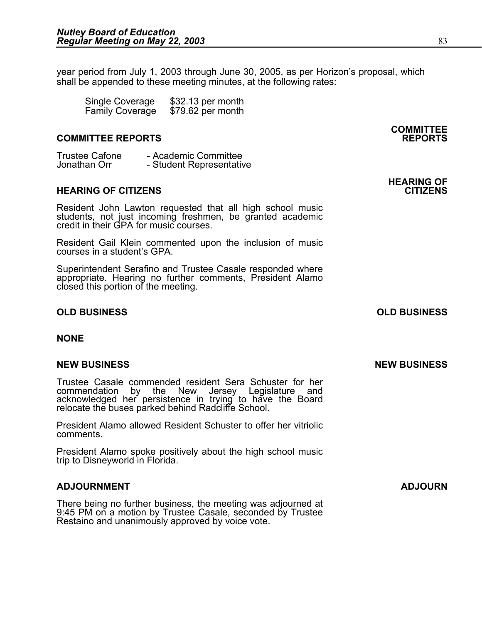year period from July 1, 2003 through June 30, 2005, as per Horizon's proposal, which shall be appended to these meeting minutes, at the following rates:

 Single Coverage \$32.13 per month Family Coverage \$79.62 per month

#### **COMMITTEE REPORTS REPORTS**

Trustee Cafone - Academic Committee<br>Jonathan Orr - Student Representativ - Student Representative

#### **HEARING OF CITIZENS CITIZENS**

Resident John Lawton requested that all high school music students, not just incoming freshmen, be granted academic credit in their GPA for music courses.

Resident Gail Klein commented upon the inclusion of music courses in a student's GPA.

Superintendent Serafino and Trustee Casale responded where appropriate. Hearing no further comments, President Alamo closed this portion of the meeting.

#### **OLD BUSINESS OLD BUSINESS**

**NONE** 

#### **NEW BUSINESS NEW BUSINESS**

Trustee Casale commended resident Sera Schuster for her commendation by the New Jersey Legislature and acknowledged her persistence in trying to have the Board<br>relocate the buses parked behind Radcliffe School.

President Alamo allowed Resident Schuster to offer her vitriolic comments.

President Alamo spoke positively about the high school music trip to Disneyworld in Florida.

#### **ADJOURNMENT ADJOURN**

There being no further business, the meeting was adjourned at 9:45 PM on a motion by Trustee Casale, seconded by Trustee Restaino and unanimously approved by voice vote.

**COMMITTEE** 

# **HEARING OF**